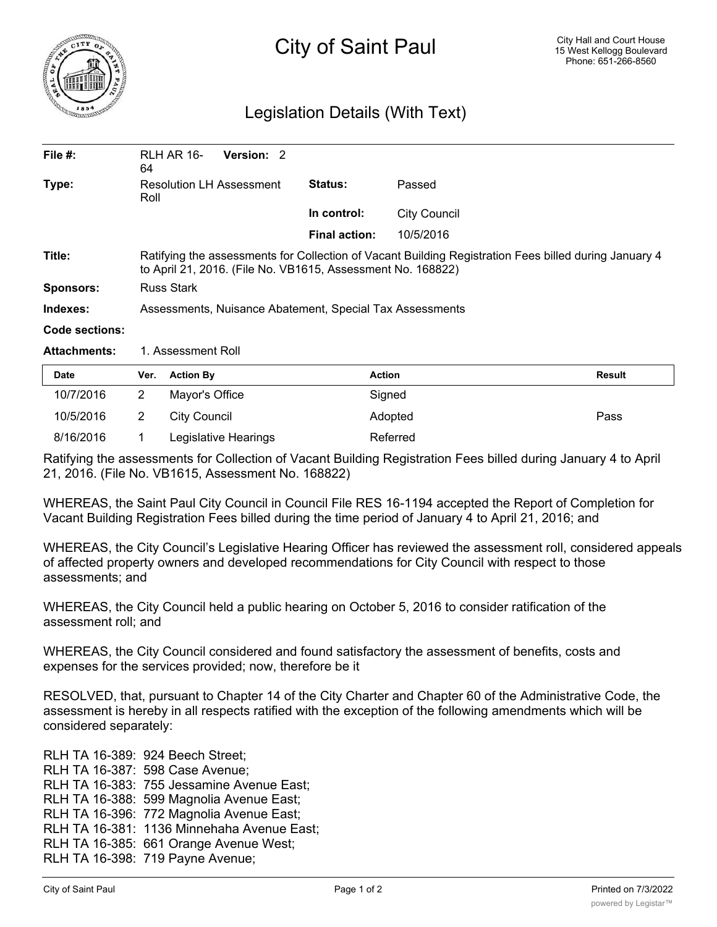

## Legislation Details (With Text)

| File $#$ :          | RLH AR 16-<br>Version: 2<br>64                                                                                                                                       |                          |                     |  |  |
|---------------------|----------------------------------------------------------------------------------------------------------------------------------------------------------------------|--------------------------|---------------------|--|--|
| Type:               | <b>Resolution LH Assessment</b><br>Roll                                                                                                                              | Passed<br><b>Status:</b> |                     |  |  |
|                     |                                                                                                                                                                      | In control:              | <b>City Council</b> |  |  |
|                     |                                                                                                                                                                      | <b>Final action:</b>     | 10/5/2016           |  |  |
| Title:              | Ratifying the assessments for Collection of Vacant Building Registration Fees billed during January 4<br>to April 21, 2016. (File No. VB1615, Assessment No. 168822) |                          |                     |  |  |
| <b>Sponsors:</b>    | <b>Russ Stark</b>                                                                                                                                                    |                          |                     |  |  |
| Indexes:            | Assessments, Nuisance Abatement, Special Tax Assessments                                                                                                             |                          |                     |  |  |
| Code sections:      |                                                                                                                                                                      |                          |                     |  |  |
| <b>Attachments:</b> | 1. Assessment Roll                                                                                                                                                   |                          |                     |  |  |

| <b>Date</b> | Ver. | <b>Action By</b>     | <b>Action</b> | <b>Result</b> |
|-------------|------|----------------------|---------------|---------------|
| 10/7/2016   |      | Mayor's Office       | Signed        |               |
| 10/5/2016   |      | City Council         | Adopted       | Pass          |
| 8/16/2016   |      | Legislative Hearings | Referred      |               |

Ratifying the assessments for Collection of Vacant Building Registration Fees billed during January 4 to April 21, 2016. (File No. VB1615, Assessment No. 168822)

WHEREAS, the Saint Paul City Council in Council File RES 16-1194 accepted the Report of Completion for Vacant Building Registration Fees billed during the time period of January 4 to April 21, 2016; and

WHEREAS, the City Council's Legislative Hearing Officer has reviewed the assessment roll, considered appeals of affected property owners and developed recommendations for City Council with respect to those assessments; and

WHEREAS, the City Council held a public hearing on October 5, 2016 to consider ratification of the assessment roll; and

WHEREAS, the City Council considered and found satisfactory the assessment of benefits, costs and expenses for the services provided; now, therefore be it

RESOLVED, that, pursuant to Chapter 14 of the City Charter and Chapter 60 of the Administrative Code, the assessment is hereby in all respects ratified with the exception of the following amendments which will be considered separately:

RLH TA 16-389: 924 Beech Street; RLH TA 16-387: 598 Case Avenue; RLH TA 16-383: 755 Jessamine Avenue East; RLH TA 16-388: 599 Magnolia Avenue East; RLH TA 16-396: 772 Magnolia Avenue East; RLH TA 16-381: 1136 Minnehaha Avenue East; RLH TA 16-385: 661 Orange Avenue West; RLH TA 16-398: 719 Payne Avenue;